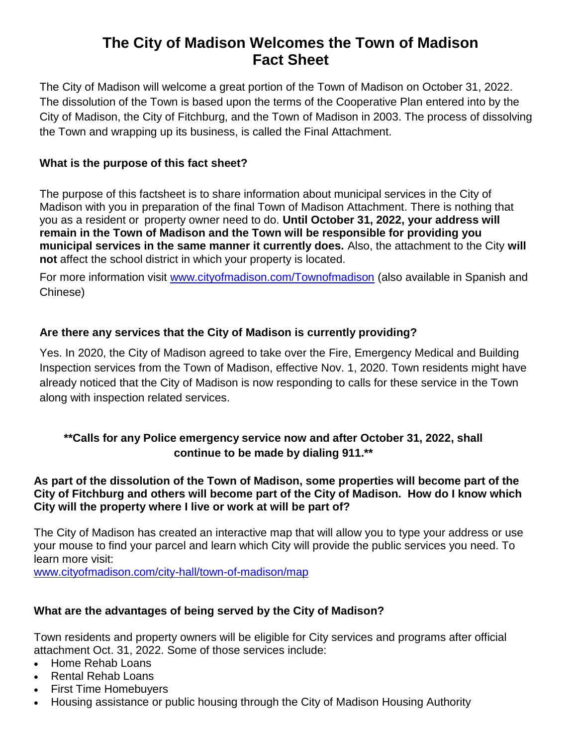# **The City of Madison Welcomes the Town of Madison Fact Sheet**

The City of Madison will welcome a great portion of the Town of Madison on October 31, 2022. The dissolution of the Town is based upon the terms of the Cooperative Plan entered into by the City of Madison, the City of Fitchburg, and the Town of Madison in 2003. The process of dissolving the Town and wrapping up its business, is called the Final Attachment.

## **What is the purpose of this fact sheet?**

The purpose of this factsheet is to share information about municipal services in the City of Madison with you in preparation of the final Town of Madison Attachment. There is nothing that you as a resident or property owner need to do. **Until October 31, 2022, your address will remain in the Town of Madison and the Town will be responsible for providing you municipal services in the same manner it currently does.** Also, the attachment to the City **will not** affect the school district in which your property is located.

For more information visit [www.cityofmadison.com/Townofmadison](http://www.cityofmadison.com/Townofmadison) (also available in Spanish and Chinese)

## **Are there any services that the City of Madison is currently providing?**

Yes. In 2020, the City of Madison agreed to take over the Fire, Emergency Medical and Building Inspection services from the Town of Madison, effective Nov. 1, 2020. Town residents might have already noticed that the City of Madison is now responding to calls for these service in the Town along with inspection related services.

# **\*\*Calls for any Police emergency service now and after October 31, 2022, shall continue to be made by dialing 911.\*\***

## **As part of the dissolution of the Town of Madison, some properties will become part of the City of Fitchburg and others will become part of the City of Madison. How do I know which City will the property where I live or work at will be part of?**

The City of Madison has created an interactive map that will allow you to type your address or use your mouse to find your parcel and learn which City will provide the public services you need. To learn more visit:

[www.cityofmadison.com/city-hall/town-of-madison/map](http://www.cityofmadison.com/city-hall/town-of-madison/map)

#### **What are the advantages of being served by the City of Madison?**

Town residents and property owners will be eligible for City services and programs after official attachment Oct. 31, 2022. Some of those services include:

- Home Rehab Loans
- Rental Rehab Loans
- First Time Homebuyers
- Housing assistance or public housing through the City of Madison Housing Authority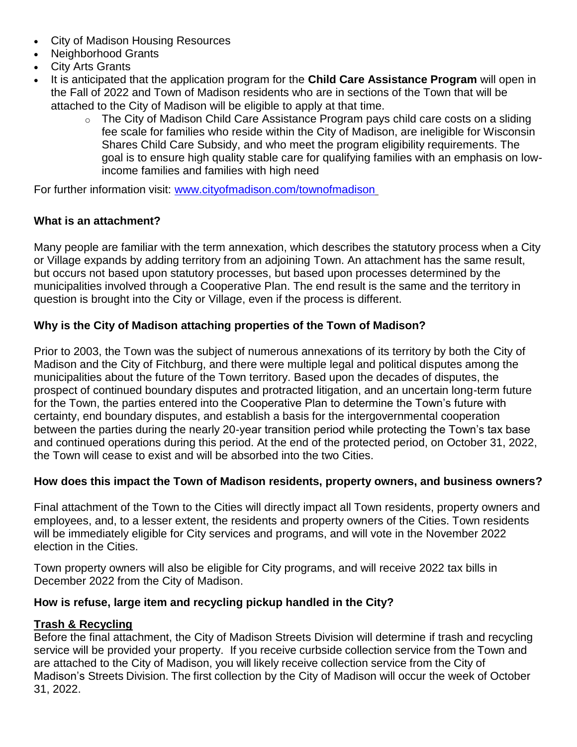- City of Madison Housing Resources
- Neighborhood Grants
- City Arts Grants
- It is anticipated that the application program for the **Child Care Assistance Program** will open in the Fall of 2022 and Town of Madison residents who are in sections of the Town that will be attached to the City of Madison will be eligible to apply at that time.
	- $\circ$  The City of Madison Child Care Assistance Program pays child care costs on a sliding fee scale for families who reside within the City of Madison, are ineligible for Wisconsin Shares Child Care Subsidy, and who meet the program eligibility requirements. The goal is to ensure high quality stable care for qualifying families with an emphasis on lowincome families and families with high need

For further information visit: [www.cityofmadison.com/townofmadison](http://www.cityofmadison.com/townofmadison)

## **What is an attachment?**

Many people are familiar with the term annexation, which describes the statutory process when a City or Village expands by adding territory from an adjoining Town. An attachment has the same result, but occurs not based upon statutory processes, but based upon processes determined by the municipalities involved through a Cooperative Plan. The end result is the same and the territory in question is brought into the City or Village, even if the process is different.

## **Why is the City of Madison attaching properties of the Town of Madison?**

Prior to 2003, the Town was the subject of numerous annexations of its territory by both the City of Madison and the City of Fitchburg, and there were multiple legal and political disputes among the municipalities about the future of the Town territory. Based upon the decades of disputes, the prospect of continued boundary disputes and protracted litigation, and an uncertain long-term future for the Town, the parties entered into the Cooperative Plan to determine the Town's future with certainty, end boundary disputes, and establish a basis for the intergovernmental cooperation between the parties during the nearly 20-year transition period while protecting the Town's tax base and continued operations during this period. At the end of the protected period, on October 31, 2022, the Town will cease to exist and will be absorbed into the two Cities.

## **How does this impact the Town of Madison residents, property owners, and business owners?**

Final attachment of the Town to the Cities will directly impact all Town residents, property owners and employees, and, to a lesser extent, the residents and property owners of the Cities. Town residents will be immediately eligible for City services and programs, and will vote in the November 2022 election in the Cities.

Town property owners will also be eligible for City programs, and will receive 2022 tax bills in December 2022 from the City of Madison.

## **How is refuse, large item and recycling pickup handled in the City?**

## **Trash & Recycling**

Before the final attachment, the City of Madison Streets Division will determine if trash and recycling service will be provided your property. If you receive curbside collection service from the Town and are attached to the City of Madison, you will likely receive collection service from the City of Madison's Streets Division. The first collection by the City of Madison will occur the week of October 31, 2022.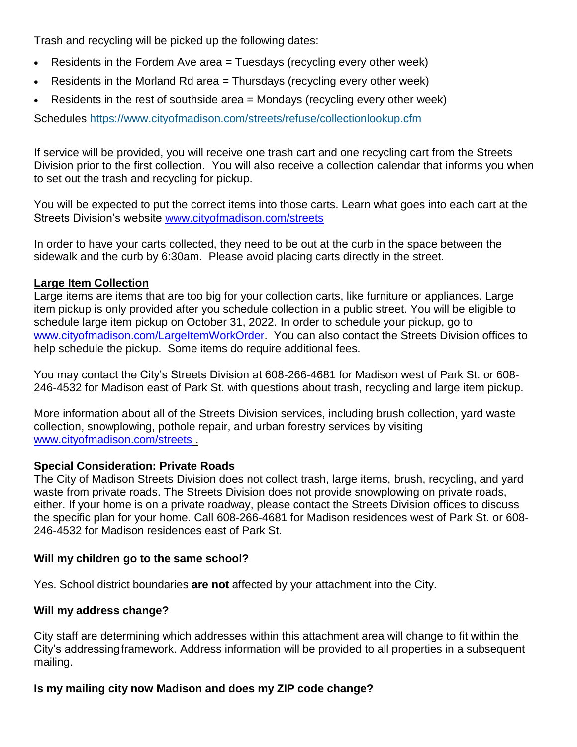Trash and recycling will be picked up the following dates:

- Residents in the Fordem Ave area  $=$  Tuesdays (recycling every other week)
- Example Residents in the Morland Rd area  $=$  Thursdays (recycling every other week)
- Residents in the rest of southside area  $=$  Mondays (recycling every other week)

Schedules <https://www.cityofmadison.com/streets/refuse/collectionlookup.cfm>

If service will be provided, you will receive one trash cart and one recycling cart from the Streets Division prior to the first collection. You will also receive a collection calendar that informs you when to set out the trash and recycling for pickup.

You will be expected to put the correct items into those carts. Learn what goes into each cart at the Streets Division's website [www.cityofmadison.com/streets](http://www.cityofmadison.com/streets)

In order to have your carts collected, they need to be out at the curb in the space between the sidewalk and the curb by 6:30am. Please avoid placing carts directly in the street.

#### **Large Item Collection**

Large items are items that are too big for your collection carts, like furniture or appliances. Large item pickup is only provided after you schedule collection in a public street. You will be eligible to schedule large item pickup on October 31, 2022. In order to schedule your pickup, go to [www.cityofmadison.com/LargeItemWorkOrder.](http://www.cityofmadison.com/LargeItemWorkOrder) You can also contact the Streets Division offices to help schedule the pickup. Some items do require additional fees.

You may contact the City's Streets Division at 608-266-4681 for Madison west of Park St. or 608- 246-4532 for Madison east of Park St. with questions about trash, recycling and large item pickup.

More information about all of the Streets Division services, including brush collection, yard waste collection, snowplowing, pothole repair, and urban forestry services by visiting [www.cityofmadison.com/streets](http://www.cityofmadison.com/streets) .

#### **Special Consideration: Private Roads**

The City of Madison Streets Division does not collect trash, large items, brush, recycling, and yard waste from private roads. The Streets Division does not provide snowplowing on private roads, either. If your home is on a private roadway, please contact the Streets Division offices to discuss the specific plan for your home. Call 608-266-4681 for Madison residences west of Park St. or 608- 246-4532 for Madison residences east of Park St.

#### **Will my children go to the same school?**

Yes. School district boundaries **are not** affected by your attachment into the City.

#### **Will my address change?**

City staff are determining which addresses within this attachment area will change to fit within the City's addressingframework. Address information will be provided to all properties in a subsequent mailing.

#### **Is my mailing city now Madison and does my ZIP code change?**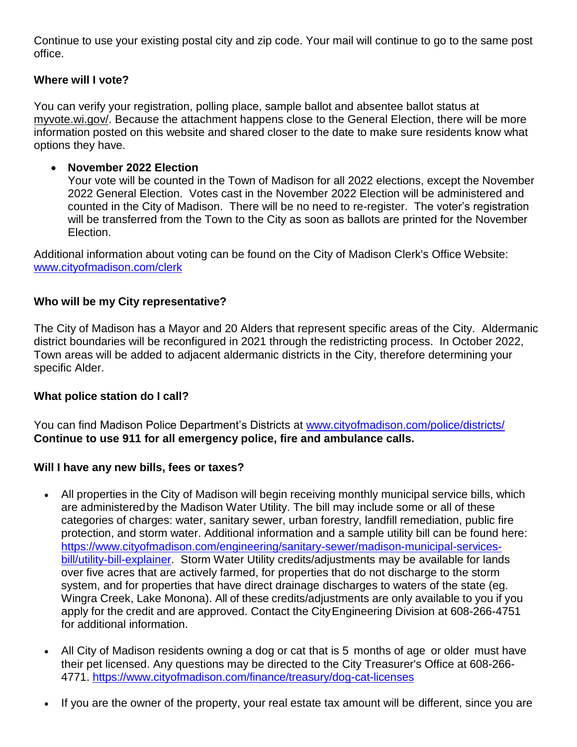Continue to use your existing postal city and zip code. Your mail will continue to go to the same post office.

## **Where will I vote?**

You can verify your registration, polling place, sample ballot and absentee ballot status at myvote.wi.gov/. Because the attachment happens close to the General Election, there will be more information posted on this website and shared closer to the date to make sure residents know what options they have.

## **November 2022 Election**

Your vote will be counted in the Town of Madison for all 2022 elections, except the November 2022 General Election. Votes cast in the November 2022 Election will be administered and counted in the City of Madison. There will be no need to re-register. The voter's registration will be transferred from the Town to the City as soon as ballots are printed for the November Election.

Additional information about voting can be found on the City of Madison Clerk's Office Website: [www.cityofmadison.com/clerk](http://www.cityofmadison.com/clerk)

## **Who will be my City representative?**

The City of Madison has a Mayor and 20 Alders that represent specific areas of the City. Aldermanic district boundaries will be reconfigured in 2021 through the redistricting process. In October 2022, Town areas will be added to adjacent aldermanic districts in the City, therefore determining your specific Alder.

#### **What police station do I call?**

You can find Madison Police Department's Districts at [www.cityofmadison.com/police/districts/](http://www.cityofmadison.com/police/districts/) **Continue to use 911 for all emergency police, fire and ambulance calls.**

## **Will I have any new bills, fees or taxes?**

- All properties in the City of Madison will begin receiving monthly municipal service bills, which are administeredby the Madison Water Utility. The bill may include some or all of these categories of charges: water, sanitary sewer, urban forestry, landfill remediation, public fire protection, and storm water. Additional information and a sample utility bill can be found here: [https://www.cityofmadison.com/engineering/sanitary-sewer/madison-municipal-services](https://www.cityofmadison.com/engineering/sanitary-sewer/madison-municipal-services-bill/utility-bill-explainer)[bill/utility-bill-explainer.](https://www.cityofmadison.com/engineering/sanitary-sewer/madison-municipal-services-bill/utility-bill-explainer) Storm Water Utility credits/adjustments may be available for lands over five acres that are actively farmed, for properties that do not discharge to the storm system, and for properties that have direct drainage discharges to waters of the state (eg. Wingra Creek, Lake Monona). All of these credits/adjustments are only available to you if you apply for the credit and are approved. Contact the CityEngineering Division at 608-266-4751 for additional information.
- All City of Madison residents owning a dog or cat that is 5 months of age or older must have their pet licensed. Any questions may be directed to the City Treasurer's Office at 608-266- 4771. <https://www.cityofmadison.com/finance/treasury/dog-cat-licenses>
- If you are the owner of the property, your real estate tax amount will be different, since you are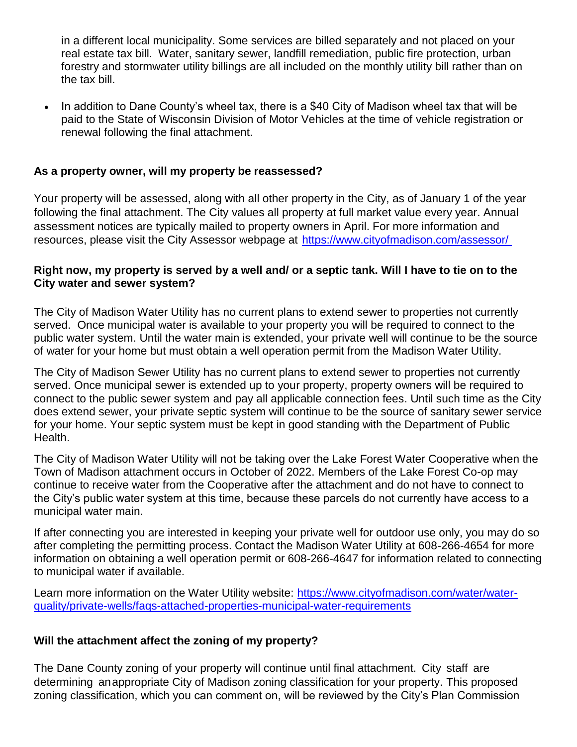in a different local municipality. Some services are billed separately and not placed on your real estate tax bill. Water, sanitary sewer, landfill remediation, public fire protection, urban forestry and stormwater utility billings are all included on the monthly utility bill rather than on the tax bill.

 In addition to Dane County's wheel tax, there is a \$40 City of Madison wheel tax that will be paid to the State of Wisconsin Division of Motor Vehicles at the time of vehicle registration or renewal following the final attachment.

## **As a property owner, will my property be reassessed?**

Your property will be assessed, along with all other property in the City, as of January 1 of the year following the final attachment. The City values all property at full market value every year. Annual assessment notices are typically mailed to property owners in April. For more information and resources, please visit the City Assessor webpage at <https://www.cityofmadison.com/assessor/>

## **Right now, my property is served by a well and/ or a septic tank. Will I have to tie on to the City water and sewer system?**

The City of Madison Water Utility has no current plans to extend sewer to properties not currently served. Once municipal water is available to your property you will be required to connect to the public water system. Until the water main is extended, your private well will continue to be the source of water for your home but must obtain a well operation permit from the Madison Water Utility.

The City of Madison Sewer Utility has no current plans to extend sewer to properties not currently served. Once municipal sewer is extended up to your property, property owners will be required to connect to the public sewer system and pay all applicable connection fees. Until such time as the City does extend sewer, your private septic system will continue to be the source of sanitary sewer service for your home. Your septic system must be kept in good standing with the Department of Public Health.

The City of Madison Water Utility will not be taking over the Lake Forest Water Cooperative when the Town of Madison attachment occurs in October of 2022. Members of the Lake Forest Co-op may continue to receive water from the Cooperative after the attachment and do not have to connect to the City's public water system at this time, because these parcels do not currently have access to a municipal water main.

If after connecting you are interested in keeping your private well for outdoor use only, you may do so after completing the permitting process. Contact the Madison Water Utility at 608-266-4654 for more information on obtaining a well operation permit or 608-266-4647 for information related to connecting to municipal water if available.

Learn more information on the Water Utility website: [https://www.cityofmadison.com/water/water](https://www.cityofmadison.com/water/water-quality/private-wells/faqs-attached-properties-municipal-water-requirements)[quality/private-wells/faqs-attached-properties-municipal-water-requirements](https://www.cityofmadison.com/water/water-quality/private-wells/faqs-attached-properties-municipal-water-requirements)

## **Will the attachment affect the zoning of my property?**

The Dane County zoning of your property will continue until final attachment. City staff are determining anappropriate City of Madison zoning classification for your property. This proposed zoning classification, which you can comment on, will be reviewed by the City's Plan Commission